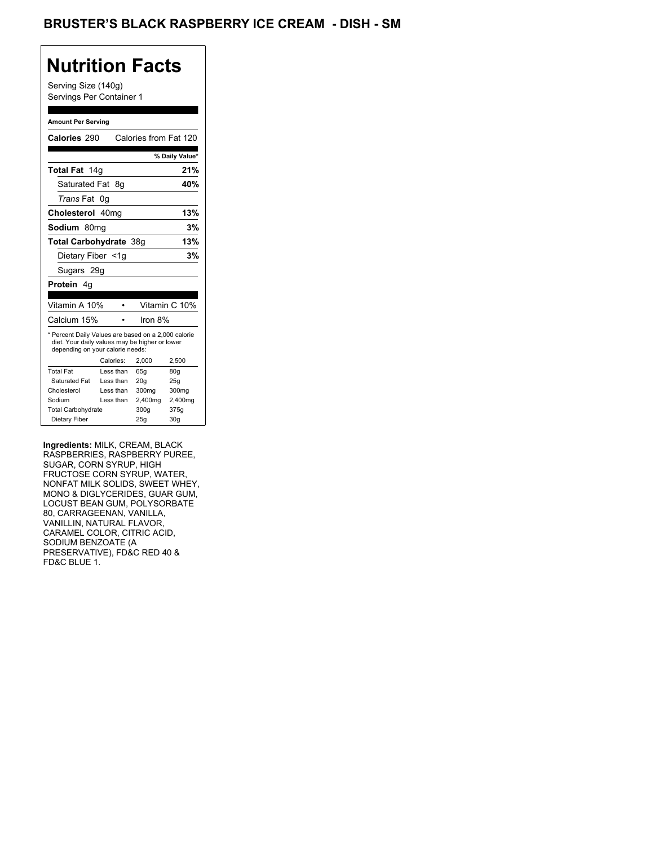## BRUSTER'S BLACK RASPBERRY ICE CREAM - DISH - SM

## **Nutrition Facts**

Serving Size (140g) Servings Per Container 1

#### **Amount Per Serving**

| Calories 290                                                                                                                              |            | Calories from Fat 120 |                   |
|-------------------------------------------------------------------------------------------------------------------------------------------|------------|-----------------------|-------------------|
|                                                                                                                                           |            |                       | % Daily Value*    |
| Total Fat 14g                                                                                                                             |            |                       | 21%               |
| Saturated Fat 8q                                                                                                                          |            |                       | 40%               |
| <i>Trans</i> Fat                                                                                                                          | 0g         |                       |                   |
| Cholesterol 40mg                                                                                                                          |            |                       | 13%               |
| Sodium 80mg                                                                                                                               |            |                       | 3%                |
| Total Carbohydrate 38g                                                                                                                    |            |                       | 13%               |
| Dietary Fiber <1g                                                                                                                         |            |                       | 3%                |
| Sugars 29g                                                                                                                                |            |                       |                   |
| Protein 4g                                                                                                                                |            |                       |                   |
|                                                                                                                                           |            |                       |                   |
| Vitamin A 10%                                                                                                                             |            |                       | Vitamin C 10%     |
| Calcium 15%                                                                                                                               |            | Iron 8%               |                   |
| * Percent Daily Values are based on a 2,000 calorie<br>diet. Your daily values may be higher or lower<br>depending on your calorie needs: |            |                       |                   |
|                                                                                                                                           | Calories:  | 2.000                 | 2,500             |
| <b>Total Fat</b>                                                                                                                          | Less than  | 65q                   | 80q               |
| Saturated Fat                                                                                                                             | Less than  | 20q                   | 25g               |
| Cholesterol                                                                                                                               | I ess than | 300mg                 | 300 <sub>mg</sub> |
| Sodium                                                                                                                                    | Less than  | 2,400mg               | 2,400mg           |
| <b>Total Carbohydrate</b>                                                                                                                 |            | 300g                  | 375g              |
| Dietary Fiber                                                                                                                             |            | 25g                   | 30 <sub>g</sub>   |
|                                                                                                                                           |            |                       |                   |

**Ingredients:** MILK, CREAM, BLACK RASPBERRIES, RASPBERRY PUREE, SUGAR, CORN SYRUP, HIGH FRUCTOSE CORN SYRUP, WATER, NONFAT MILK SOLIDS, SWEET WHEY, MONO & DIGLYCERIDES, GUAR GUM, LOCUST BEAN GUM, POLYSORBATE 80, CARRAGEENAN, VANILLA, VANILLIN, NATURAL FLAVOR, CARAMEL COLOR, CITRIC ACID, SODIUM BENZOATE (A PRESERVATIVE), FD&C RED 40 & FD&C BLUE 1.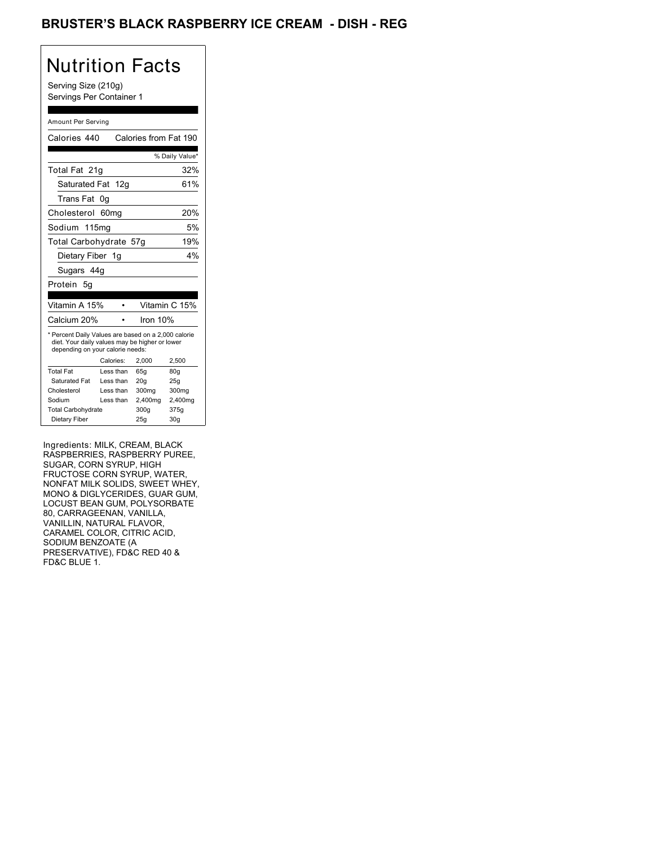## BRUSTER'S BLACK RASPBERRY ICE CREAM - DISH - REG

# Nutrition Facts

Serving Size (210g) Servings Per Container 1

### Amount Per Serving

| Calories 440                                                                                                                              |                  | Calories from Fat 190 |                |
|-------------------------------------------------------------------------------------------------------------------------------------------|------------------|-----------------------|----------------|
|                                                                                                                                           |                  |                       | % Daily Value* |
| Total Fat 21q                                                                                                                             |                  |                       | 32%            |
| Saturated Fat 12g                                                                                                                         |                  |                       | 61%            |
| Trans Fat                                                                                                                                 | 0g               |                       |                |
| Cholesterol                                                                                                                               | 60 <sub>ma</sub> |                       | 20%            |
| Sodium 115ma                                                                                                                              |                  |                       | 5%             |
| Total Carbohydrate 57g                                                                                                                    |                  |                       | 19%            |
| Dietary Fiber 1g                                                                                                                          |                  |                       | 4%             |
| Sugars 44g                                                                                                                                |                  |                       |                |
| Protein<br>- 5g                                                                                                                           |                  |                       |                |
|                                                                                                                                           |                  |                       |                |
|                                                                                                                                           |                  |                       |                |
| Vitamin A 15%                                                                                                                             |                  |                       | Vitamin C 15%  |
| Calcium 20%                                                                                                                               |                  | Iron $10%$            |                |
| * Percent Daily Values are based on a 2,000 calorie<br>diet. Your daily values may be higher or lower<br>depending on your calorie needs: |                  |                       |                |
|                                                                                                                                           | Calories:        | 2,000                 | 2,500          |
| <b>Total Fat</b>                                                                                                                          | Less than        | 65a                   | 80q            |
| <b>Saturated Fat</b>                                                                                                                      | Less than        | 20 <sub>g</sub>       | 25g            |
| Cholesterol                                                                                                                               | Less than        | 300mg                 | 300mg          |
| Sodium                                                                                                                                    | Less than        | 2,400mg               | 2,400mg        |
| <b>Total Carbohydrate</b>                                                                                                                 |                  | 300q                  | 375g           |

Ingredients: MILK, CREAM, BLACK RASPBERRIES, RASPBERRY PUREE, SUGAR, CORN SYRUP, HIGH FRUCTOSE CORN SYRUP, WATER, NONFAT MILK SOLIDS, SWEET WHEY, MONO & DIGLYCERIDES, GUAR GUM, LOCUST BEAN GUM, POLYSORBATE 80, CARRAGEENAN, VANILLA, VANILLIN, NATURAL FLAVOR, CARAMEL COLOR, CITRIC ACID, SODIUM BENZOATE (A PRESERVATIVE), FD&C RED 40 & FD&C BLUE 1.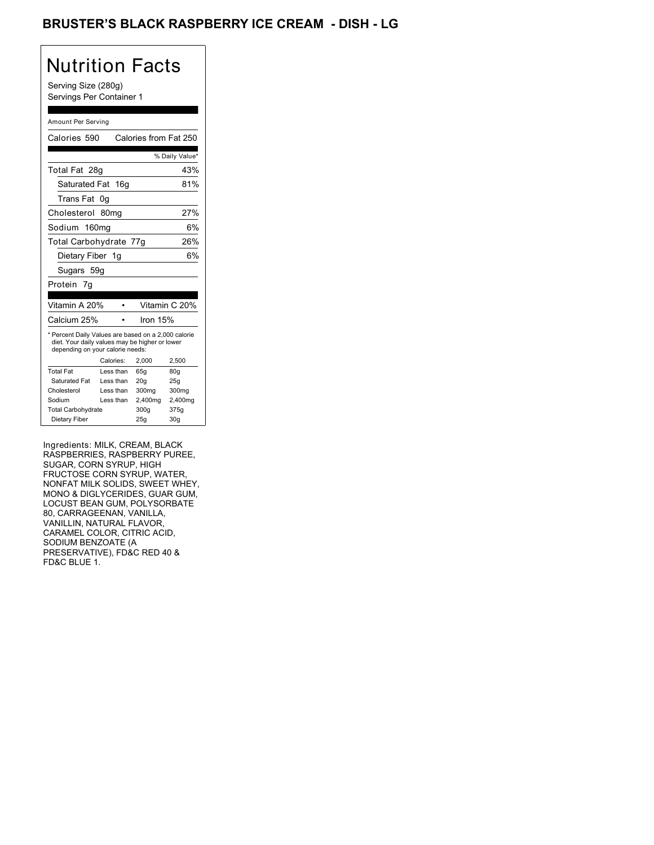## BRUSTER'S BLACK RASPBERRY ICE CREAM - DISH - LG

# Nutrition Facts

Serving Size (280g) Servings Per Container 1

#### Amount Per Serving

| Calories 590                                                                                                                              |                  | Calories from Fat 250 |                 |
|-------------------------------------------------------------------------------------------------------------------------------------------|------------------|-----------------------|-----------------|
|                                                                                                                                           |                  |                       | % Daily Value*  |
| Total Fat 28g                                                                                                                             |                  |                       | 43%             |
| Saturated Fat 16g                                                                                                                         |                  |                       | 81%             |
| Trans Fat                                                                                                                                 | 0g               |                       |                 |
| Cholesterol                                                                                                                               | 80 <sub>mg</sub> |                       | 27%             |
| Sodium 160mg                                                                                                                              |                  |                       | 6%              |
| Total Carbohydrate 77g                                                                                                                    |                  |                       | 26%             |
| Dietary Fiber 1g                                                                                                                          |                  |                       | 6%              |
| Sugars 59g                                                                                                                                |                  |                       |                 |
| Protein 7q                                                                                                                                |                  |                       |                 |
| Vitamin A 20%                                                                                                                             |                  |                       | Vitamin C 20%   |
| Calcium 25%                                                                                                                               |                  | Iron 15%              |                 |
| * Percent Daily Values are based on a 2,000 calorie<br>diet. Your daily values may be higher or lower<br>depending on your calorie needs: |                  |                       |                 |
|                                                                                                                                           | Calories:        | 2,000                 | 2,500           |
| <b>Total Fat</b>                                                                                                                          | Less than        | 65q                   | 80q             |
| Saturated Fat                                                                                                                             | Less than        | 20q                   | 25g             |
| Cholesterol                                                                                                                               | Less than        | 300mg                 | 300mg           |
| Sodium                                                                                                                                    | Less than        | 2,400mg               | 2,400mg         |
| <b>Total Carbohydrate</b>                                                                                                                 |                  | 300g                  | 375g            |
| Dietary Fiber                                                                                                                             |                  | 25g                   | 30 <sub>g</sub> |

Ingredients: MILK, CREAM, BLACK RASPBERRIES, RASPBERRY PUREE, SUGAR, CORN SYRUP, HIGH FRUCTOSE CORN SYRUP, WATER, NONFAT MILK SOLIDS, SWEET WHEY, MONO & DIGLYCERIDES, GUAR GUM, LOCUST BEAN GUM, POLYSORBATE 80, CARRAGEENAN, VANILLA, VANILLIN, NATURAL FLAVOR, CARAMEL COLOR, CITRIC ACID, SODIUM BENZOATE (A PRESERVATIVE), FD&C RED 40 & FD&C BLUE 1.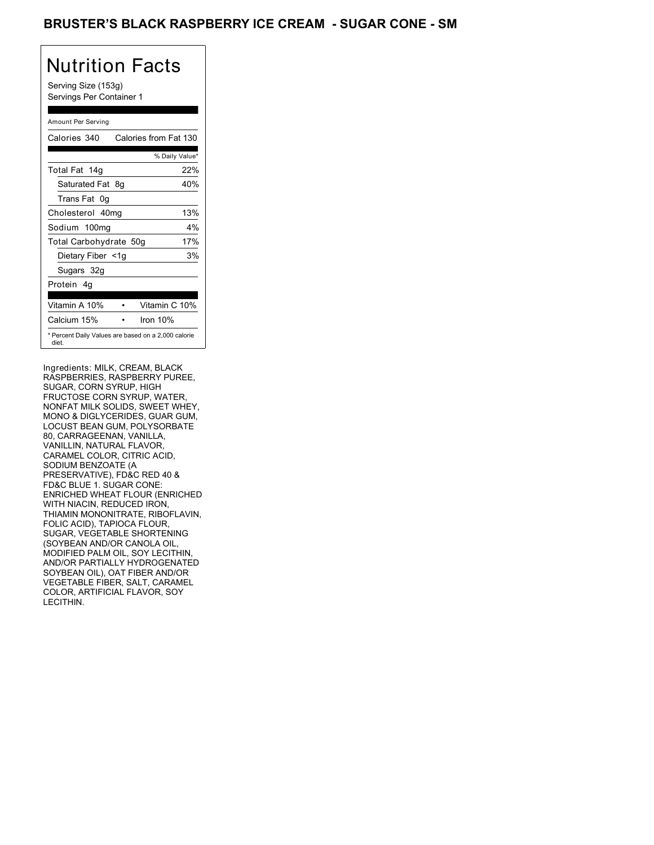## BRUSTER'S BLACK RASPBERRY ICE CREAM - SUGAR CONE - SM

# Nutrition Facts

Serving Size (153g) Servings Per Container 1

### Amount Per Serving

| Calories 340                                                 | Calories from Fat 130 |     |
|--------------------------------------------------------------|-----------------------|-----|
|                                                              | % Daily Value*        |     |
| Total Fat 14g                                                |                       | 22% |
| Saturated Fat 8g                                             |                       | 40% |
| Trans Fat 0q                                                 |                       |     |
| Cholesterol 40mg                                             |                       | 13% |
| Sodium 100mg                                                 |                       | 4%  |
| Total Carbohydrate 50g                                       |                       | 17% |
| Dietary Fiber <1g                                            |                       | 3%  |
| Sugars 32g                                                   |                       |     |
| Protein 4q                                                   |                       |     |
| Vitamin A 10%                                                | Vitamin C 10%         |     |
| Calcium 15%                                                  | Iron $10%$            |     |
| * Percent Daily Values are based on a 2,000 calorie<br>diet. |                       |     |

Ingredients: MILK, CREAM, BLACK RASPBERRIES, RASPBERRY PUREE, SUGAR, CORN SYRUP, HIGH FRUCTOSE CORN SYRUP, WATER, NONFAT MILK SOLIDS, SWEET WHEY, MONO & DIGLYCERIDES, GUAR GUM, LOCUST BEAN GUM, POLYSORBATE 80, CARRAGEENAN, VANILLA, VANILLIN, NATURAL FLAVOR, CARAMEL COLOR, CITRIC ACID, SODIUM BENZOATE (A PRESERVATIVE), FD&C RED 40 & FD&C BLUE 1. SUGAR CONE: ENRICHED WHEAT FLOUR (ENRICHED WITH NIACIN, REDUCED IRON, THIAMIN MONONITRATE, RIBOFLAVIN, FOLIC ACID), TAPIOCA FLOUR, SUGAR, VEGETABLE SHORTENING (SOYBEAN AND/OR CANOLA OIL, MODIFIED PALM OIL, SOY LECITHIN, AND/OR PARTIALLY HYDROGENATED SOYBEAN OIL), OAT FIBER AND/OR VEGETABLE FIBER, SALT, CARAMEL COLOR, ARTIFICIAL FLAVOR, SOY LECITHIN.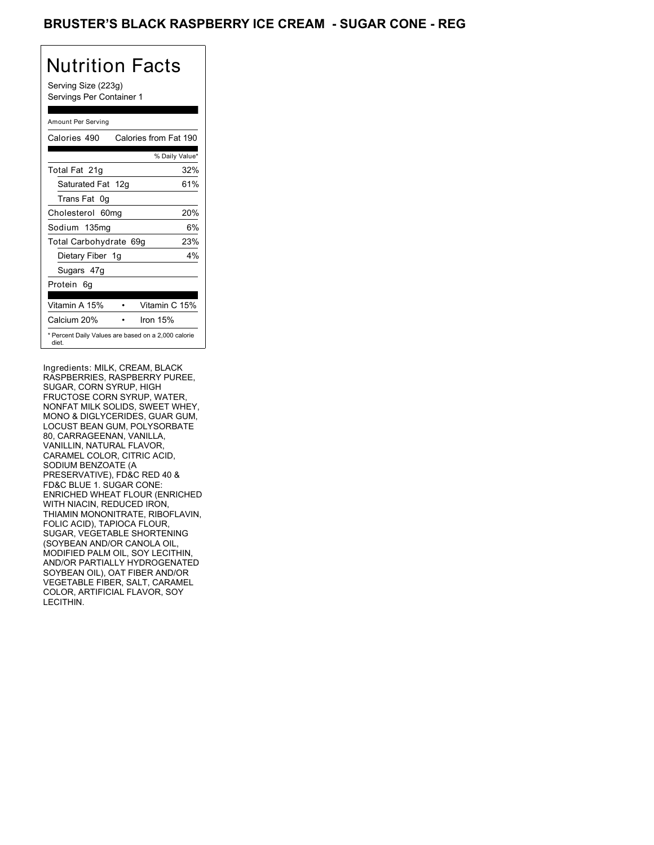## BRUSTER'S BLACK RASPBERRY ICE CREAM - SUGAR CONE - REG

# Nutrition Facts

Serving Size (223g) Servings Per Container 1

### Amount Per Serving

| Calories 490                                                 | Calories from Fat 190 |       |
|--------------------------------------------------------------|-----------------------|-------|
|                                                              | % Daily Value*        |       |
| Total Fat 21g                                                |                       | 32%   |
| Saturated Fat 12g                                            |                       | 61%   |
| Trans Fat 0q                                                 |                       |       |
| Cholesterol 60mg                                             |                       | 20%   |
| Sodium 135mg                                                 |                       | 6%    |
| Total Carbohydrate 69g                                       |                       | 23%   |
| Dietary Fiber 1g                                             |                       | $4\%$ |
| Sugars 47g                                                   |                       |       |
| Protein 6q                                                   |                       |       |
| Vitamin A 15%                                                | Vitamin C 15%         |       |
| Calcium 20%                                                  | Iron $15%$            |       |
| * Percent Daily Values are based on a 2,000 calorie<br>diet. |                       |       |

Ingredients: MILK, CREAM, BLACK RASPBERRIES, RASPBERRY PUREE, SUGAR, CORN SYRUP, HIGH FRUCTOSE CORN SYRUP, WATER, NONFAT MILK SOLIDS, SWEET WHEY, MONO & DIGLYCERIDES, GUAR GUM, LOCUST BEAN GUM, POLYSORBATE 80, CARRAGEENAN, VANILLA, VANILLIN, NATURAL FLAVOR, CARAMEL COLOR, CITRIC ACID, SODIUM BENZOATE (A PRESERVATIVE), FD&C RED 40 & FD&C BLUE 1. SUGAR CONE: ENRICHED WHEAT FLOUR (ENRICHED WITH NIACIN, REDUCED IRON, THIAMIN MONONITRATE, RIBOFLAVIN, FOLIC ACID), TAPIOCA FLOUR, SUGAR, VEGETABLE SHORTENING (SOYBEAN AND/OR CANOLA OIL, MODIFIED PALM OIL, SOY LECITHIN, AND/OR PARTIALLY HYDROGENATED SOYBEAN OIL), OAT FIBER AND/OR VEGETABLE FIBER, SALT, CARAMEL COLOR, ARTIFICIAL FLAVOR, SOY LECITHIN.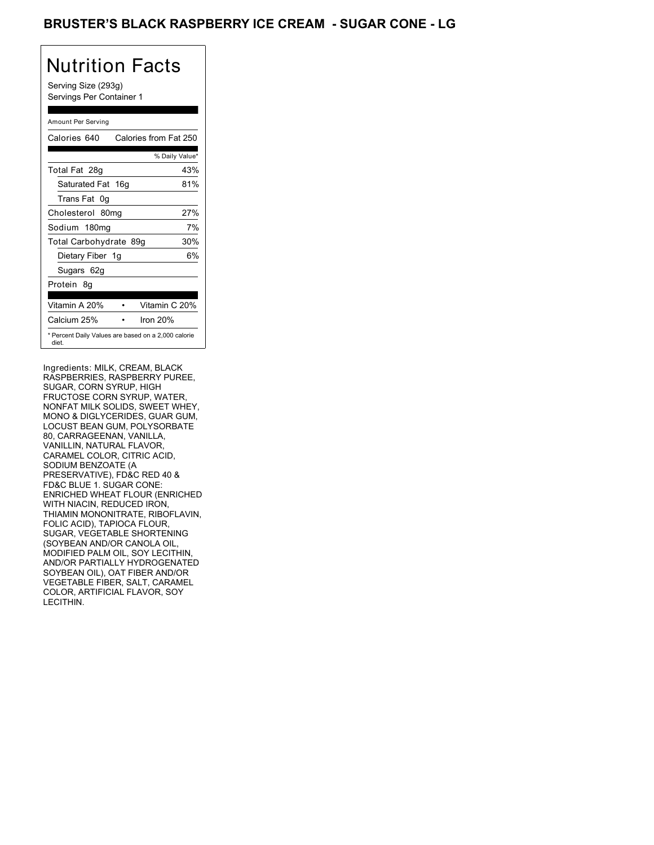## BRUSTER'S BLACK RASPBERRY ICE CREAM - SUGAR CONE - LG

# Nutrition Facts

Serving Size (293g) Servings Per Container 1

### Amount Per Serving

| Calories 640           | Calories from Fat 250                               |
|------------------------|-----------------------------------------------------|
|                        | % Daily Value*                                      |
| Total Fat 28g          | 43%                                                 |
| Saturated Fat 16g      | 81%                                                 |
| Trans Fat 0q           |                                                     |
| Cholesterol 80mg       | 27%                                                 |
| Sodium 180mg           | 7%                                                  |
| Total Carbohydrate 89g | 30%                                                 |
| Dietary Fiber 1g       | 6%                                                  |
| Sugars 62g             |                                                     |
| Protein 8q             |                                                     |
| Vitamin A 20%          | Vitamin C 20%                                       |
| Calcium 25%            | Iron $20%$                                          |
| diet.                  | * Percent Daily Values are based on a 2,000 calorie |

Ingredients: MILK, CREAM, BLACK RASPBERRIES, RASPBERRY PUREE, SUGAR, CORN SYRUP, HIGH FRUCTOSE CORN SYRUP, WATER, NONFAT MILK SOLIDS, SWEET WHEY, MONO & DIGLYCERIDES, GUAR GUM, LOCUST BEAN GUM, POLYSORBATE 80, CARRAGEENAN, VANILLA, VANILLIN, NATURAL FLAVOR, CARAMEL COLOR, CITRIC ACID, SODIUM BENZOATE (A PRESERVATIVE), FD&C RED 40 & FD&C BLUE 1. SUGAR CONE: ENRICHED WHEAT FLOUR (ENRICHED WITH NIACIN, REDUCED IRON, THIAMIN MONONITRATE, RIBOFLAVIN, FOLIC ACID), TAPIOCA FLOUR, SUGAR, VEGETABLE SHORTENING (SOYBEAN AND/OR CANOLA OIL, MODIFIED PALM OIL, SOY LECITHIN, AND/OR PARTIALLY HYDROGENATED SOYBEAN OIL), OAT FIBER AND/OR VEGETABLE FIBER, SALT, CARAMEL COLOR, ARTIFICIAL FLAVOR, SOY LECITHIN.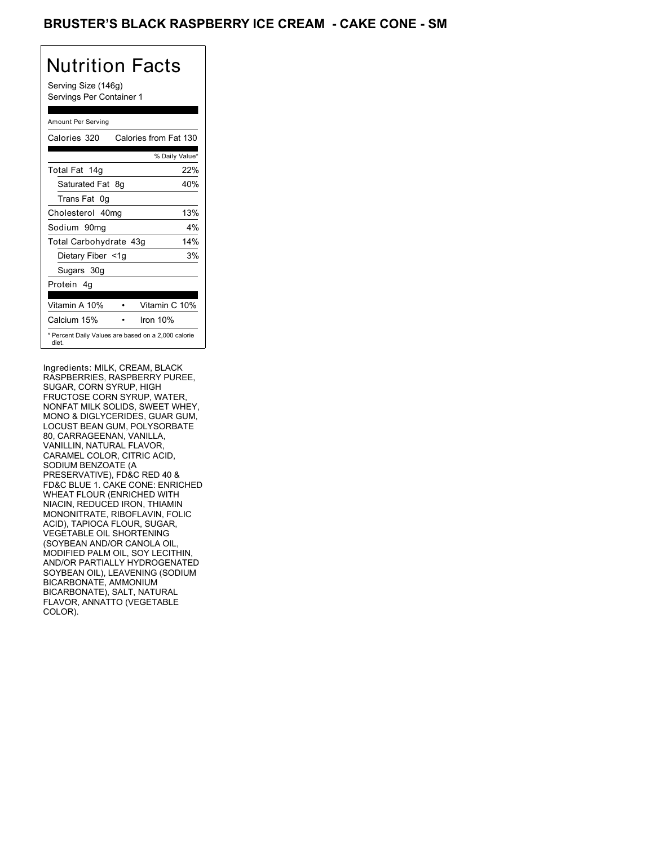## BRUSTER'S BLACK RASPBERRY ICE CREAM - CAKE CONE - SM

# Nutrition Facts

Serving Size (146g) Servings Per Container 1

### Amount Per Serving

| Calories 320           | Calories from Fat 130                               |
|------------------------|-----------------------------------------------------|
|                        | % Daily Value*                                      |
| Total Fat 14g          | 22%                                                 |
| Saturated Fat 8g       | 40%                                                 |
| Trans Fat 0q           |                                                     |
| Cholesterol 40mg       | 13%                                                 |
| Sodium 90mq            | $4\%$                                               |
| Total Carbohydrate 43g | 14%                                                 |
| Dietary Fiber <1g      | 3%                                                  |
| Sugars 30g             |                                                     |
| Protein 4q             |                                                     |
| Vitamin A 10%          | Vitamin C 10%                                       |
| Calcium 15%            | Iron $10%$                                          |
| diet.                  | * Percent Daily Values are based on a 2,000 calorie |

Ingredients: MILK, CREAM, BLACK RASPBERRIES, RASPBERRY PUREE, SUGAR, CORN SYRUP, HIGH FRUCTOSE CORN SYRUP, WATER, NONFAT MILK SOLIDS, SWEET WHEY, MONO & DIGLYCERIDES, GUAR GUM, LOCUST BEAN GUM, POLYSORBATE 80, CARRAGEENAN, VANILLA, VANILLIN, NATURAL FLAVOR, CARAMEL COLOR, CITRIC ACID, SODIUM BENZOATE (A PRESERVATIVE), FD&C RED 40 & FD&C BLUE 1. CAKE CONE: ENRICHED WHEAT FLOUR (ENRICHED WITH NIACIN, REDUCED IRON, THIAMIN MONONITRATE, RIBOFLAVIN, FOLIC ACID), TAPIOCA FLOUR, SUGAR, VEGETABLE OIL SHORTENING (SOYBEAN AND/OR CANOLA OIL, MODIFIED PALM OIL, SOY LECITHIN, AND/OR PARTIALLY HYDROGENATED SOYBEAN OIL), LEAVENING (SODIUM BICARBONATE, AMMONIUM BICARBONATE), SALT, NATURAL FLAVOR, ANNATTO (VEGETABLE COLOR).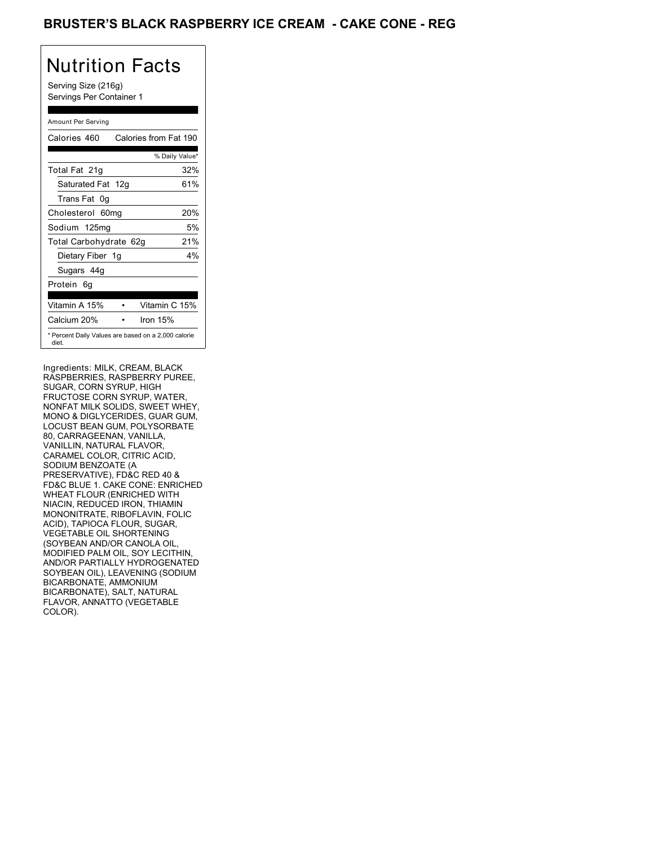## BRUSTER'S BLACK RASPBERRY ICE CREAM - CAKE CONE - REG

# Nutrition Facts

Serving Size (216g) Servings Per Container 1

### Amount Per Serving

| Calories 460                                                 | Calories from Fat 190 |     |
|--------------------------------------------------------------|-----------------------|-----|
|                                                              | % Daily Value*        |     |
| Total Fat 21g                                                |                       | 32% |
| Saturated Fat 12g                                            |                       | 61% |
| Trans Fat 0q                                                 |                       |     |
| Cholesterol 60mg                                             |                       | 20% |
| Sodium 125mg                                                 |                       | 5%  |
| Total Carbohydrate 62g                                       |                       | 21% |
| Dietary Fiber 1g                                             |                       | 4%  |
| Sugars 44g                                                   |                       |     |
| Protein 6q                                                   |                       |     |
| Vitamin A 15%                                                | Vitamin C 15%         |     |
| Calcium 20%                                                  | Iron 15%              |     |
| * Percent Daily Values are based on a 2,000 calorie<br>diet. |                       |     |

Ingredients: MILK, CREAM, BLACK RASPBERRIES, RASPBERRY PUREE, SUGAR, CORN SYRUP, HIGH FRUCTOSE CORN SYRUP, WATER, NONFAT MILK SOLIDS, SWEET WHEY, MONO & DIGLYCERIDES, GUAR GUM, LOCUST BEAN GUM, POLYSORBATE 80, CARRAGEENAN, VANILLA, VANILLIN, NATURAL FLAVOR, CARAMEL COLOR, CITRIC ACID, SODIUM BENZOATE (A PRESERVATIVE), FD&C RED 40 & FD&C BLUE 1. CAKE CONE: ENRICHED WHEAT FLOUR (ENRICHED WITH NIACIN, REDUCED IRON, THIAMIN MONONITRATE, RIBOFLAVIN, FOLIC ACID), TAPIOCA FLOUR, SUGAR, VEGETABLE OIL SHORTENING (SOYBEAN AND/OR CANOLA OIL, MODIFIED PALM OIL, SOY LECITHIN, AND/OR PARTIALLY HYDROGENATED SOYBEAN OIL), LEAVENING (SODIUM BICARBONATE, AMMONIUM BICARBONATE), SALT, NATURAL FLAVOR, ANNATTO (VEGETABLE COLOR).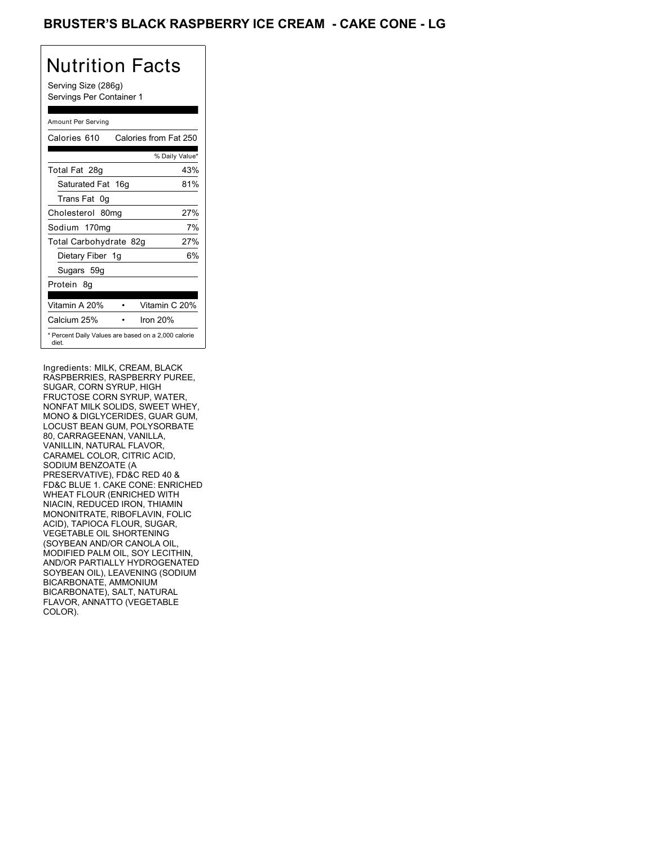## BRUSTER'S BLACK RASPBERRY ICE CREAM - CAKE CONE - LG

# Nutrition Facts

Serving Size (286g) Servings Per Container 1

### Amount Per Serving

| Calories 610                                                 | Calories from Fat 250 |     |
|--------------------------------------------------------------|-----------------------|-----|
|                                                              | % Daily Value*        |     |
| Total Fat 28g                                                |                       | 43% |
| Saturated Fat 16g                                            |                       | 81% |
| Trans Fat 0q                                                 |                       |     |
| Cholesterol 80mg                                             |                       | 27% |
| Sodium 170mg                                                 |                       | 7%  |
| Total Carbohydrate 82g                                       |                       | 27% |
| Dietary Fiber 1g                                             |                       | 6%  |
| Sugars 59g                                                   |                       |     |
| Protein 8q                                                   |                       |     |
| Vitamin A 20%                                                | Vitamin C 20%         |     |
| Calcium 25%                                                  | Iron $20%$            |     |
| * Percent Daily Values are based on a 2,000 calorie<br>diet. |                       |     |

Ingredients: MILK, CREAM, BLACK RASPBERRIES, RASPBERRY PUREE, SUGAR, CORN SYRUP, HIGH FRUCTOSE CORN SYRUP, WATER, NONFAT MILK SOLIDS, SWEET WHEY, MONO & DIGLYCERIDES, GUAR GUM, LOCUST BEAN GUM, POLYSORBATE 80, CARRAGEENAN, VANILLA, VANILLIN, NATURAL FLAVOR, CARAMEL COLOR, CITRIC ACID, SODIUM BENZOATE (A PRESERVATIVE), FD&C RED 40 & FD&C BLUE 1. CAKE CONE: ENRICHED WHEAT FLOUR (ENRICHED WITH NIACIN, REDUCED IRON, THIAMIN MONONITRATE, RIBOFLAVIN, FOLIC ACID), TAPIOCA FLOUR, SUGAR, VEGETABLE OIL SHORTENING (SOYBEAN AND/OR CANOLA OIL, MODIFIED PALM OIL, SOY LECITHIN, AND/OR PARTIALLY HYDROGENATED SOYBEAN OIL), LEAVENING (SODIUM BICARBONATE, AMMONIUM BICARBONATE), SALT, NATURAL FLAVOR, ANNATTO (VEGETABLE COLOR).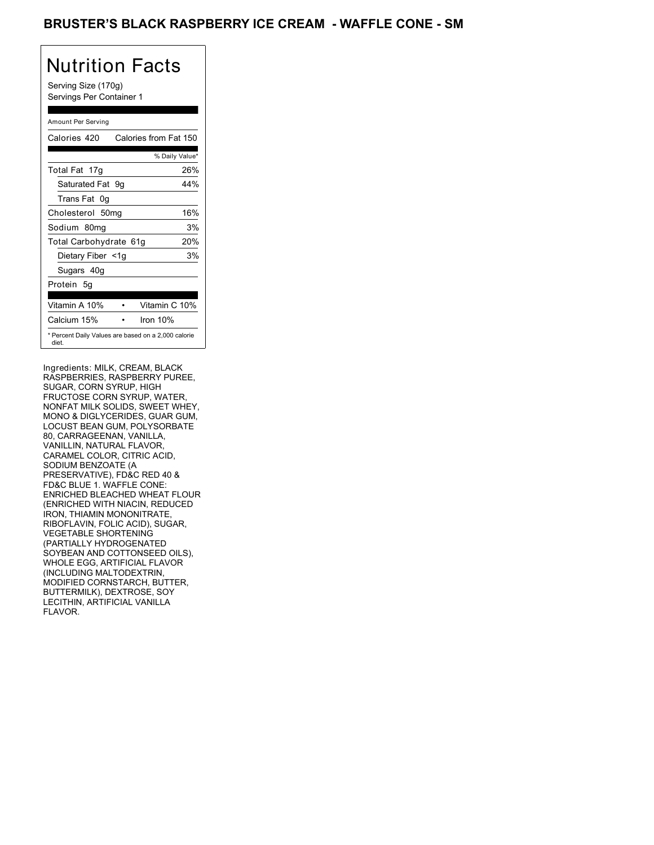## BRUSTER'S BLACK RASPBERRY ICE CREAM - WAFFLE CONE - SM

# Nutrition Facts

Serving Size (170g) Servings Per Container 1

### Amount Per Serving

| Calories 420           | Calories from Fat 150                               |     |
|------------------------|-----------------------------------------------------|-----|
|                        | % Daily Value*                                      |     |
| Total Fat 17g          |                                                     | 26% |
| Saturated Fat 9g       |                                                     | 44% |
| Trans Fat 0q           |                                                     |     |
| Cholesterol 50mg       |                                                     | 16% |
| Sodium 80mg            |                                                     | 3%  |
| Total Carbohydrate 61g |                                                     | 20% |
| Dietary Fiber <1g      |                                                     | 3%  |
| Sugars 40g             |                                                     |     |
| Protein 5q             |                                                     |     |
| Vitamin A 10%          | Vitamin C 10%                                       |     |
| Calcium 15%            | Iron 10%                                            |     |
| diet.                  | * Percent Daily Values are based on a 2,000 calorie |     |

Ingredients: MILK, CREAM, BLACK RASPBERRIES, RASPBERRY PUREE, SUGAR, CORN SYRUP, HIGH FRUCTOSE CORN SYRUP, WATER, NONFAT MILK SOLIDS, SWEET WHEY, MONO & DIGLYCERIDES, GUAR GUM, LOCUST BEAN GUM, POLYSORBATE 80, CARRAGEENAN, VANILLA, VANILLIN, NATURAL FLAVOR, CARAMEL COLOR, CITRIC ACID, SODIUM BENZOATE (A PRESERVATIVE), FD&C RED 40 & FD&C BLUE 1. WAFFLE CONE: ENRICHED BLEACHED WHEAT FLOUR (ENRICHED WITH NIACIN, REDUCED IRON, THIAMIN MONONITRATE, RIBOFLAVIN, FOLIC ACID), SUGAR, VEGETABLE SHORTENING (PARTIALLY HYDROGENATED SOYBEAN AND COTTONSEED OILS), WHOLE EGG, ARTIFICIAL FLAVOR (INCLUDING MALTODEXTRIN, MODIFIED CORNSTARCH, BUTTER, BUTTERMILK), DEXTROSE, SOY LECITHIN, ARTIFICIAL VANILLA FLAVOR.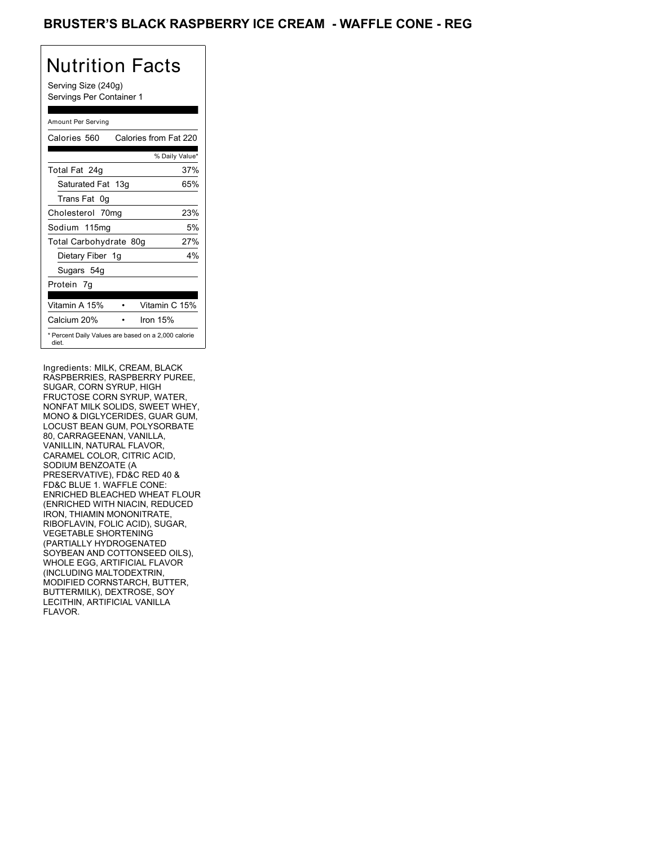## BRUSTER'S BLACK RASPBERRY ICE CREAM - WAFFLE CONE - REG

# Nutrition Facts

Serving Size (240g) Servings Per Container 1

### Amount Per Serving

| Calories 560                                                 | Calories from Fat 220 |       |
|--------------------------------------------------------------|-----------------------|-------|
|                                                              | % Daily Value*        |       |
| Total Fat 24g                                                |                       | 37%   |
| Saturated Fat 13g                                            |                       | 65%   |
| Trans Fat 0q                                                 |                       |       |
| Cholesterol 70mg                                             |                       | 23%   |
| Sodium 115mg                                                 |                       | 5%    |
| Total Carbohydrate 80g                                       |                       | 27%   |
| Dietary Fiber 1g                                             |                       | $4\%$ |
| Sugars 54g                                                   |                       |       |
| Protein 7q                                                   |                       |       |
| Vitamin A 15%                                                | Vitamin C 15%         |       |
| Calcium 20%                                                  | Iron $15%$            |       |
| * Percent Daily Values are based on a 2,000 calorie<br>diet. |                       |       |

Ingredients: MILK, CREAM, BLACK RASPBERRIES, RASPBERRY PUREE, SUGAR, CORN SYRUP, HIGH FRUCTOSE CORN SYRUP, WATER, NONFAT MILK SOLIDS, SWEET WHEY, MONO & DIGLYCERIDES, GUAR GUM, LOCUST BEAN GUM, POLYSORBATE 80, CARRAGEENAN, VANILLA, VANILLIN, NATURAL FLAVOR, CARAMEL COLOR, CITRIC ACID, SODIUM BENZOATE (A PRESERVATIVE), FD&C RED 40 & FD&C BLUE 1. WAFFLE CONE: ENRICHED BLEACHED WHEAT FLOUR (ENRICHED WITH NIACIN, REDUCED IRON, THIAMIN MONONITRATE, RIBOFLAVIN, FOLIC ACID), SUGAR, VEGETABLE SHORTENING (PARTIALLY HYDROGENATED SOYBEAN AND COTTONSEED OILS), WHOLE EGG, ARTIFICIAL FLAVOR (INCLUDING MALTODEXTRIN, MODIFIED CORNSTARCH, BUTTER, BUTTERMILK), DEXTROSE, SOY LECITHIN, ARTIFICIAL VANILLA FLAVOR.